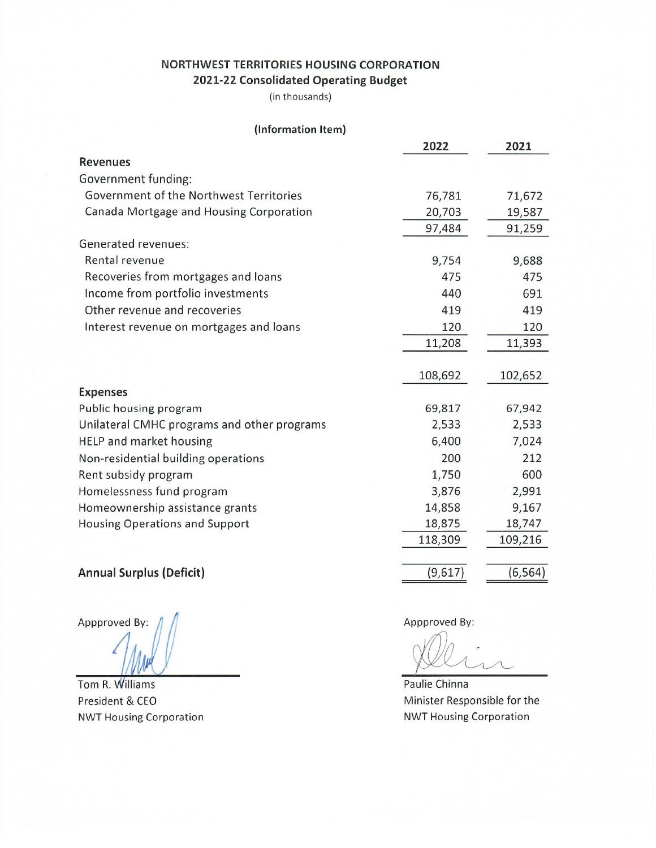# NORTHWEST TERRITORIES HOUSING CORPORATION 2021-22 Consolidated Operating Budget

(in thousands)

| (Information Item)                          |         |          |
|---------------------------------------------|---------|----------|
|                                             | 2022    | 2021     |
| <b>Revenues</b>                             |         |          |
| Government funding:                         |         |          |
| Government of the Northwest Territories     | 76,781  | 71,672   |
| Canada Mortgage and Housing Corporation     | 20,703  | 19,587   |
|                                             | 97,484  | 91,259   |
| Generated revenues:                         |         |          |
| Rental revenue                              | 9,754   | 9,688    |
| Recoveries from mortgages and loans         | 475     | 475      |
| Income from portfolio investments           | 440     | 691      |
| Other revenue and recoveries                | 419     | 419      |
| Interest revenue on mortgages and loans     | 120     | 120      |
|                                             | 11,208  | 11,393   |
|                                             |         |          |
|                                             | 108,692 | 102,652  |
| <b>Expenses</b>                             |         |          |
| Public housing program                      | 69,817  | 67,942   |
| Unilateral CMHC programs and other programs | 2,533   | 2,533    |
| HELP and market housing                     | 6,400   | 7,024    |
| Non-residential building operations         | 200     | 212      |
| Rent subsidy program                        | 1,750   | 600      |
| Homelessness fund program                   | 3,876   | 2,991    |
| Homeownership assistance grants             | 14,858  | 9,167    |
| <b>Housing Operations and Support</b>       | 18,875  | 18,747   |
|                                             | 118,309 | 109,216  |
|                                             |         |          |
| <b>Annual Surplus (Deficit)</b>             | (9,617) | (6, 564) |

Appproved By:

Tom R. Williams President & CEO **NWT Housing Corporation**  Appproved By:

Paulie Chinna Minister Responsible for the **NWT Housing Corporation**